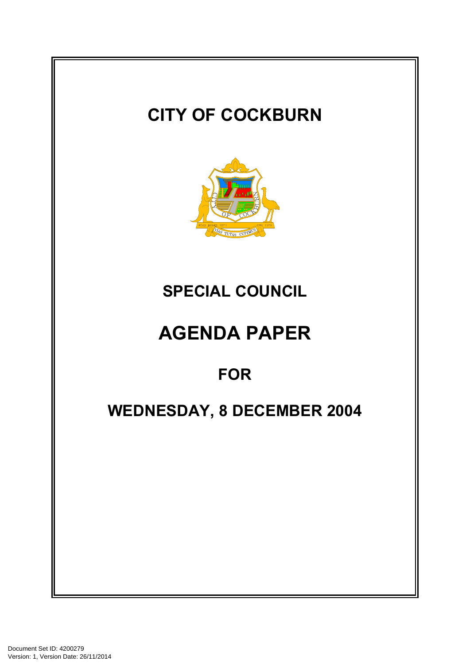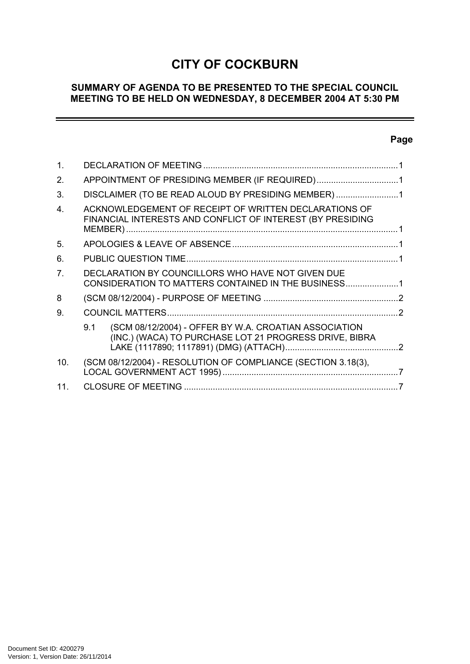# **CITY OF COCKBURN**

# **SUMMARY OF AGENDA TO BE PRESENTED TO THE SPECIAL COUNCIL MEETING TO BE HELD ON WEDNESDAY, 8 DECEMBER 2004 AT 5:30 PM**

## **Page**

-

| $\mathbf{1}$ . |                                                                                                                        |  |
|----------------|------------------------------------------------------------------------------------------------------------------------|--|
| 2.             | APPOINTMENT OF PRESIDING MEMBER (IF REQUIRED)1                                                                         |  |
| 3.             | DISCLAIMER (TO BE READ ALOUD BY PRESIDING MEMBER)1                                                                     |  |
| 4.             | ACKNOWLEDGEMENT OF RECEIPT OF WRITTEN DECLARATIONS OF<br>FINANCIAL INTERESTS AND CONFLICT OF INTEREST (BY PRESIDING    |  |
| $5^{\circ}$    |                                                                                                                        |  |
| 6.             |                                                                                                                        |  |
| 7 <sub>1</sub> | DECLARATION BY COUNCILLORS WHO HAVE NOT GIVEN DUE<br>CONSIDERATION TO MATTERS CONTAINED IN THE BUSINESS1               |  |
| 8              |                                                                                                                        |  |
| 9.             |                                                                                                                        |  |
|                | (SCM 08/12/2004) - OFFER BY W.A. CROATIAN ASSOCIATION<br>9.1<br>(INC.) (WACA) TO PURCHASE LOT 21 PROGRESS DRIVE, BIBRA |  |
| 10.            | (SCM 08/12/2004) - RESOLUTION OF COMPLIANCE (SECTION 3.18(3),                                                          |  |
| 11.            |                                                                                                                        |  |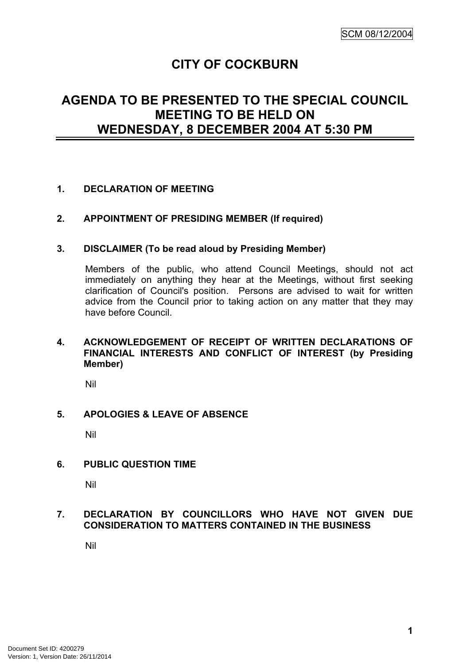# **CITY OF COCKBURN**

# **AGENDA TO BE PRESENTED TO THE SPECIAL COUNCIL MEETING TO BE HELD ON WEDNESDAY, 8 DECEMBER 2004 AT 5:30 PM**

## <span id="page-2-0"></span>**1. DECLARATION OF MEETING**

## <span id="page-2-1"></span>**2. APPOINTMENT OF PRESIDING MEMBER (If required)**

### <span id="page-2-2"></span>**3. DISCLAIMER (To be read aloud by Presiding Member)**

Members of the public, who attend Council Meetings, should not act immediately on anything they hear at the Meetings, without first seeking clarification of Council's position. Persons are advised to wait for written advice from the Council prior to taking action on any matter that they may have before Council.

### <span id="page-2-3"></span>**4. ACKNOWLEDGEMENT OF RECEIPT OF WRITTEN DECLARATIONS OF FINANCIAL INTERESTS AND CONFLICT OF INTEREST (by Presiding Member)**

Nil

## <span id="page-2-4"></span>**5. APOLOGIES & LEAVE OF ABSENCE**

Nil

## <span id="page-2-5"></span>**6. PUBLIC QUESTION TIME**

Nil

## <span id="page-2-6"></span>**7. DECLARATION BY COUNCILLORS WHO HAVE NOT GIVEN DUE CONSIDERATION TO MATTERS CONTAINED IN THE BUSINESS**

Nil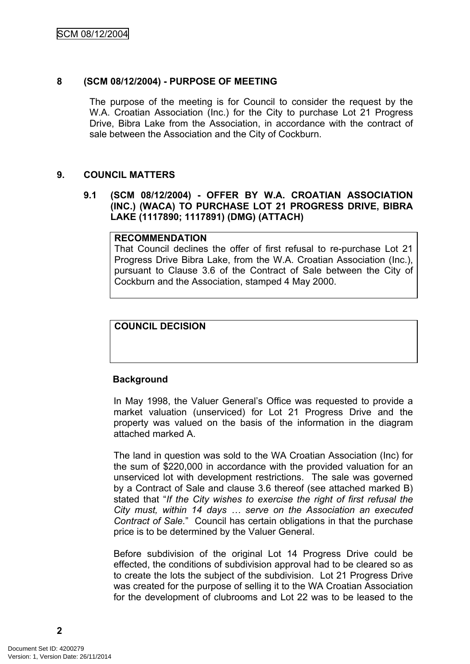## <span id="page-3-0"></span>**8 (SCM 08/12/2004) - PURPOSE OF MEETING**

The purpose of the meeting is for Council to consider the request by the W.A. Croatian Association (Inc.) for the City to purchase Lot 21 Progress Drive, Bibra Lake from the Association, in accordance with the contract of sale between the Association and the City of Cockburn.

### <span id="page-3-1"></span>**9. COUNCIL MATTERS**

#### <span id="page-3-2"></span>**9.1 (SCM 08/12/2004) - OFFER BY W.A. CROATIAN ASSOCIATION (INC.) (WACA) TO PURCHASE LOT 21 PROGRESS DRIVE, BIBRA LAKE (1117890; 1117891) (DMG) (ATTACH)**

#### **RECOMMENDATION**

That Council declines the offer of first refusal to re-purchase Lot 21 Progress Drive Bibra Lake, from the W.A. Croatian Association (Inc.), pursuant to Clause 3.6 of the Contract of Sale between the City of Cockburn and the Association, stamped 4 May 2000.

### **COUNCIL DECISION**

#### **Background**

In May 1998, the Valuer General's Office was requested to provide a market valuation (unserviced) for Lot 21 Progress Drive and the property was valued on the basis of the information in the diagram attached marked A.

The land in question was sold to the WA Croatian Association (Inc) for the sum of \$220,000 in accordance with the provided valuation for an unserviced lot with development restrictions. The sale was governed by a Contract of Sale and clause 3.6 thereof (see attached marked B) stated that "*If the City wishes to exercise the right of first refusal the City must, within 14 days … serve on the Association an executed Contract of Sale.*" Council has certain obligations in that the purchase price is to be determined by the Valuer General.

Before subdivision of the original Lot 14 Progress Drive could be effected, the conditions of subdivision approval had to be cleared so as to create the lots the subject of the subdivision. Lot 21 Progress Drive was created for the purpose of selling it to the WA Croatian Association for the development of clubrooms and Lot 22 was to be leased to the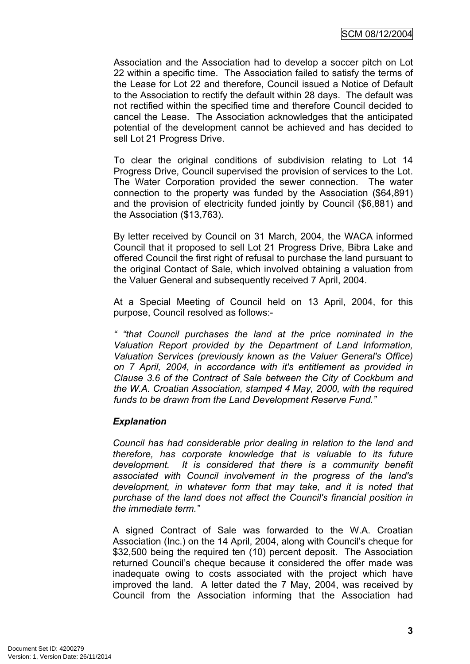Association and the Association had to develop a soccer pitch on Lot 22 within a specific time. The Association failed to satisfy the terms of the Lease for Lot 22 and therefore, Council issued a Notice of Default to the Association to rectify the default within 28 days. The default was not rectified within the specified time and therefore Council decided to cancel the Lease. The Association acknowledges that the anticipated potential of the development cannot be achieved and has decided to sell Lot 21 Progress Drive.

To clear the original conditions of subdivision relating to Lot 14 Progress Drive, Council supervised the provision of services to the Lot. The Water Corporation provided the sewer connection. The water connection to the property was funded by the Association (\$64,891) and the provision of electricity funded jointly by Council (\$6,881) and the Association (\$13,763).

By letter received by Council on 31 March, 2004, the WACA informed Council that it proposed to sell Lot 21 Progress Drive, Bibra Lake and offered Council the first right of refusal to purchase the land pursuant to the original Contact of Sale, which involved obtaining a valuation from the Valuer General and subsequently received 7 April, 2004.

At a Special Meeting of Council held on 13 April, 2004, for this purpose, Council resolved as follows:-

*" "that Council purchases the land at the price nominated in the Valuation Report provided by the Department of Land Information, Valuation Services (previously known as the Valuer General's Office) on 7 April, 2004, in accordance with it's entitlement as provided in Clause 3.6 of the Contract of Sale between the City of Cockburn and the W.A. Croatian Association, stamped 4 May, 2000, with the required funds to be drawn from the Land Development Reserve Fund."*

## *Explanation*

*Council has had considerable prior dealing in relation to the land and therefore, has corporate knowledge that is valuable to its future development. It is considered that there is a community benefit associated with Council involvement in the progress of the land's development, in whatever form that may take, and it is noted that purchase of the land does not affect the Council's financial position in the immediate term."*

A signed Contract of Sale was forwarded to the W.A. Croatian Association (Inc.) on the 14 April, 2004, along with Council's cheque for \$32,500 being the required ten (10) percent deposit. The Association returned Council's cheque because it considered the offer made was inadequate owing to costs associated with the project which have improved the land. A letter dated the 7 May, 2004, was received by Council from the Association informing that the Association had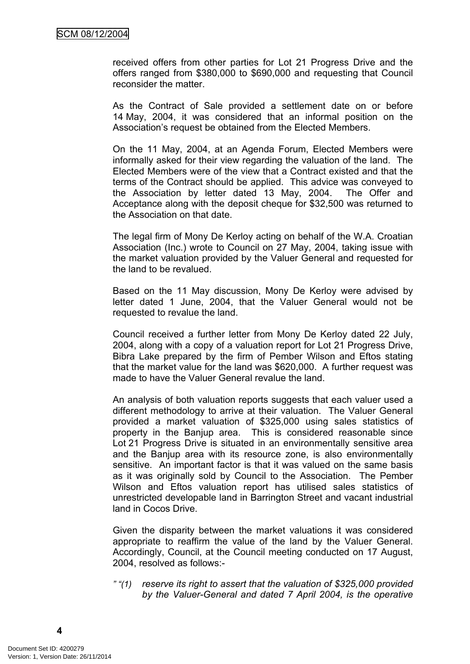received offers from other parties for Lot 21 Progress Drive and the offers ranged from \$380,000 to \$690,000 and requesting that Council reconsider the matter.

As the Contract of Sale provided a settlement date on or before 14 May, 2004, it was considered that an informal position on the Association's request be obtained from the Elected Members.

On the 11 May, 2004, at an Agenda Forum, Elected Members were informally asked for their view regarding the valuation of the land. The Elected Members were of the view that a Contract existed and that the terms of the Contract should be applied. This advice was conveyed to the Association by letter dated 13 May, 2004. The Offer and Acceptance along with the deposit cheque for \$32,500 was returned to the Association on that date.

The legal firm of Mony De Kerloy acting on behalf of the W.A. Croatian Association (Inc.) wrote to Council on 27 May, 2004, taking issue with the market valuation provided by the Valuer General and requested for the land to be revalued.

Based on the 11 May discussion, Mony De Kerloy were advised by letter dated 1 June, 2004, that the Valuer General would not be requested to revalue the land.

Council received a further letter from Mony De Kerloy dated 22 July, 2004, along with a copy of a valuation report for Lot 21 Progress Drive, Bibra Lake prepared by the firm of Pember Wilson and Eftos stating that the market value for the land was \$620,000. A further request was made to have the Valuer General revalue the land.

An analysis of both valuation reports suggests that each valuer used a different methodology to arrive at their valuation. The Valuer General provided a market valuation of \$325,000 using sales statistics of property in the Banjup area. This is considered reasonable since Lot 21 Progress Drive is situated in an environmentally sensitive area and the Banjup area with its resource zone, is also environmentally sensitive. An important factor is that it was valued on the same basis as it was originally sold by Council to the Association. The Pember Wilson and Eftos valuation report has utilised sales statistics of unrestricted developable land in Barrington Street and vacant industrial land in Cocos Drive.

Given the disparity between the market valuations it was considered appropriate to reaffirm the value of the land by the Valuer General. Accordingly, Council, at the Council meeting conducted on 17 August, 2004, resolved as follows:-

*" "(1) reserve its right to assert that the valuation of \$325,000 provided by the Valuer-General and dated 7 April 2004, is the operative*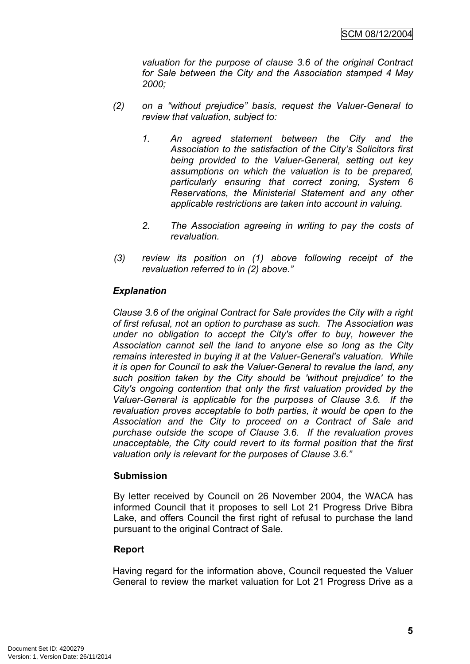*valuation for the purpose of clause 3.6 of the original Contract for Sale between the City and the Association stamped 4 May 2000;*

- *(2) on a "without prejudice" basis, request the Valuer-General to review that valuation, subject to:*
	- *1. An agreed statement between the City and the Association to the satisfaction of the City's Solicitors first being provided to the Valuer-General, setting out key assumptions on which the valuation is to be prepared, particularly ensuring that correct zoning, System 6 Reservations, the Ministerial Statement and any other applicable restrictions are taken into account in valuing.*
	- *2. The Association agreeing in writing to pay the costs of revaluation.*
- *(3) review its position on (1) above following receipt of the revaluation referred to in (2) above."*

## *Explanation*

*Clause 3.6 of the original Contract for Sale provides the City with a right of first refusal, not an option to purchase as such. The Association was under no obligation to accept the City's offer to buy, however the Association cannot sell the land to anyone else so long as the City remains interested in buying it at the Valuer-General's valuation. While it is open for Council to ask the Valuer-General to revalue the land, any such position taken by the City should be 'without prejudice' to the City's ongoing contention that only the first valuation provided by the Valuer-General is applicable for the purposes of Clause 3.6. If the revaluation proves acceptable to both parties, it would be open to the Association and the City to proceed on a Contract of Sale and purchase outside the scope of Clause 3.6. If the revaluation proves unacceptable, the City could revert to its formal position that the first valuation only is relevant for the purposes of Clause 3.6."*

## **Submission**

By letter received by Council on 26 November 2004, the WACA has informed Council that it proposes to sell Lot 21 Progress Drive Bibra Lake, and offers Council the first right of refusal to purchase the land pursuant to the original Contract of Sale.

## **Report**

Having regard for the information above, Council requested the Valuer General to review the market valuation for Lot 21 Progress Drive as a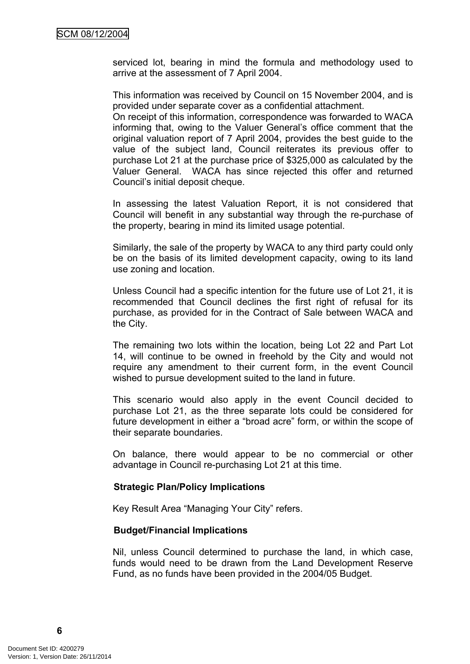serviced lot, bearing in mind the formula and methodology used to arrive at the assessment of 7 April 2004.

This information was received by Council on 15 November 2004, and is provided under separate cover as a confidential attachment.

On receipt of this information, correspondence was forwarded to WACA informing that, owing to the Valuer General's office comment that the original valuation report of 7 April 2004, provides the best guide to the value of the subject land, Council reiterates its previous offer to purchase Lot 21 at the purchase price of \$325,000 as calculated by the Valuer General. WACA has since rejected this offer and returned Council's initial deposit cheque.

In assessing the latest Valuation Report, it is not considered that Council will benefit in any substantial way through the re-purchase of the property, bearing in mind its limited usage potential.

Similarly, the sale of the property by WACA to any third party could only be on the basis of its limited development capacity, owing to its land use zoning and location.

Unless Council had a specific intention for the future use of Lot 21, it is recommended that Council declines the first right of refusal for its purchase, as provided for in the Contract of Sale between WACA and the City.

The remaining two lots within the location, being Lot 22 and Part Lot 14, will continue to be owned in freehold by the City and would not require any amendment to their current form, in the event Council wished to pursue development suited to the land in future.

This scenario would also apply in the event Council decided to purchase Lot 21, as the three separate lots could be considered for future development in either a "broad acre" form, or within the scope of their separate boundaries.

On balance, there would appear to be no commercial or other advantage in Council re-purchasing Lot 21 at this time.

#### **Strategic Plan/Policy Implications**

Key Result Area "Managing Your City" refers.

#### **Budget/Financial Implications**

Nil, unless Council determined to purchase the land, in which case, funds would need to be drawn from the Land Development Reserve Fund, as no funds have been provided in the 2004/05 Budget.